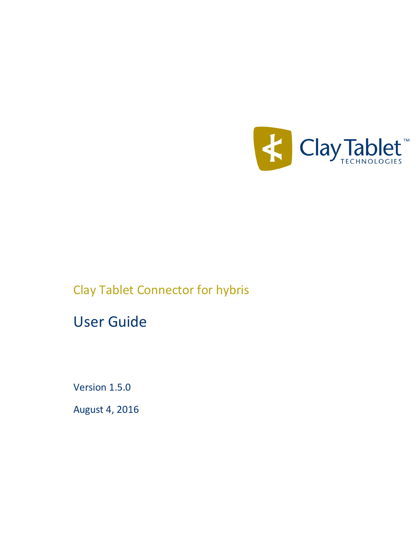

# Clay Tablet Connector for hybris

# User Guide

Version 1.5.0

August 4, 2016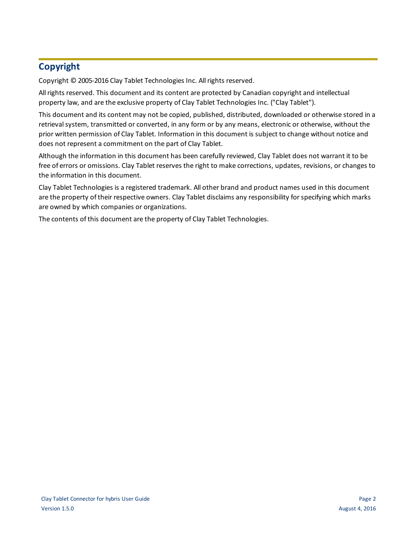## **Copyright**

Copyright © 2005-2016 Clay Tablet Technologies Inc. All rights reserved.

All rights reserved. This document and its content are protected by Canadian copyright and intellectual property law, and are the exclusive property of Clay Tablet Technologies Inc. ("Clay Tablet").

This document and its content may not be copied, published, distributed, downloaded or otherwise stored in a retrieval system, transmitted or converted, in any form or by any means, electronic or otherwise, without the prior written permission of Clay Tablet. Information in this document is subject to change without notice and does not represent a commitment on the part of Clay Tablet.

Although the information in this document has been carefully reviewed, Clay Tablet does not warrant it to be free of errors or omissions. Clay Tablet reserves the right to make corrections, updates, revisions, or changes to the information in this document.

Clay Tablet Technologies is a registered trademark. All other brand and product names used in this document are the property of their respective owners. Clay Tablet disclaims any responsibility for specifying which marks are owned by which companies or organizations.

The contents of this document are the property of Clay Tablet Technologies.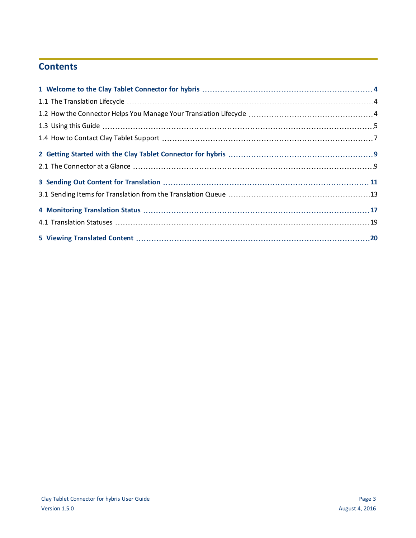## **Contents**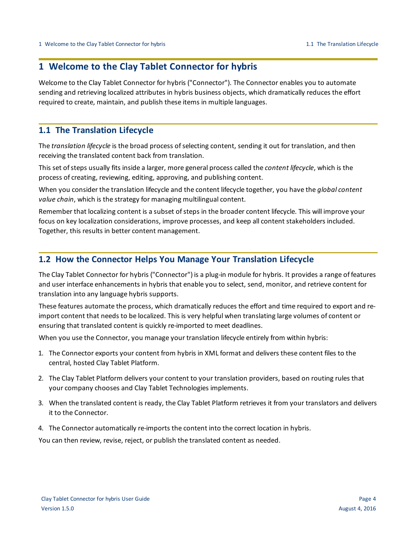## <span id="page-3-0"></span>**1 Welcome to the Clay Tablet Connector for hybris**

Welcome to the Clay Tablet Connector for hybris ("Connector"). The Connector enables you to automate sending and retrieving localized attributes in hybris business objects, which dramatically reduces the effort required to create, maintain, and publish these items in multiple languages.

## <span id="page-3-1"></span>**1.1 The Translation Lifecycle**

The *translation lifecycle* is the broad process ofselecting content, sending it out for translation, and then receiving the translated content back from translation.

This set of steps usually fits inside a larger, more general process called the *content lifecycle*, which is the process of creating, reviewing, editing, approving, and publishing content.

When you consider the translation lifecycle and the content lifecycle together, you have the *global content value chain*, which is the strategy for managing multilingual content.

Remember that localizing content is a subset of steps in the broader content lifecycle. This will improve your focus on key localization considerations, improve processes, and keep all content stakeholders included. Together, this results in better content management.

## <span id="page-3-2"></span>**1.2 How the Connector Helps You Manage Your Translation Lifecycle**

The Clay Tablet Connector for hybris ("Connector") is a plug-in module for hybris. It provides a range of features and user interface enhancements in hybris that enable you to select, send, monitor, and retrieve content for translation into any language hybris supports.

These features automate the process, which dramatically reduces the effort and time required to export and reimport content that needs to be localized. This is very helpful when translating large volumes of content or ensuring that translated content is quickly re-imported to meet deadlines.

When you use the Connector, you manage your translation lifecycle entirely from within hybris:

- 1. The Connector exports your content from hybris in XML format and delivers these content files to the central, hosted Clay Tablet Platform.
- 2. The Clay Tablet Platform delivers your content to your translation providers, based on routing rules that your company chooses and Clay Tablet Technologies implements.
- 3. When the translated content is ready, the Clay Tablet Platform retrieves it from your translators and delivers it to the Connector.
- 4. The Connector automatically re-imports the content into the correct location in hybris.

You can then review, revise, reject, or publish the translated content as needed.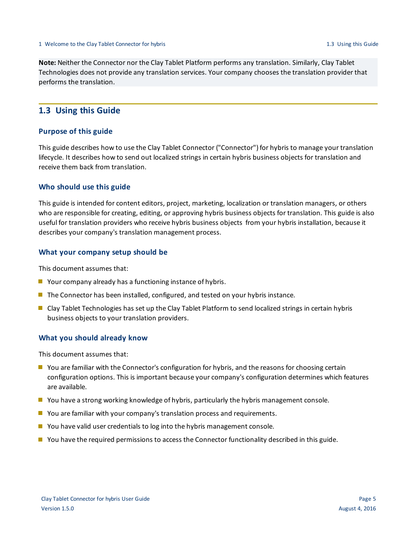**Note:** Neither the Connector nor the Clay Tablet Platform performs any translation. Similarly, Clay Tablet Technologies does not provide any translation services. Your company chooses the translation provider that performs the translation.

## <span id="page-4-0"></span>**1.3 Using this Guide**

## **Purpose of this guide**

This guide describes how to use the Clay Tablet Connector ("Connector") for hybris to manage your translation lifecycle. It describes how to send out localized strings in certain hybris business objects for translation and receive them back from translation.

## **Who should use this guide**

This guide is intended for content editors, project, marketing, localization or translation managers, or others who are responsible for creating, editing, or approving hybris business objects for translation. This guide is also useful for translation providers who receive hybris business objects from your hybris installation, because it describes your company's translation management process.

### **What your company setup should be**

This document assumes that:

- Your company already has a functioning instance of hybris.
- **The Connector has been installed, configured, and tested on your hybris instance.**
- Clay Tablet Technologies has set up the Clay Tablet Platform to send localized strings in certain hybris business objects to your translation providers.

### **What you should already know**

This document assumes that:

- **D** You are familiar with the Connector's configuration for hybris, and the reasons for choosing certain configuration options. This is important because your company's configuration determines which features are available.
- **P** You have a strong working knowledge of hybris, particularly the hybris management console.
- **D** You are familiar with your company's translation process and requirements.
- $\blacksquare$  You have valid user credentials to log into the hybris management console.
- **P** You have the required permissions to access the Connector functionality described in this guide.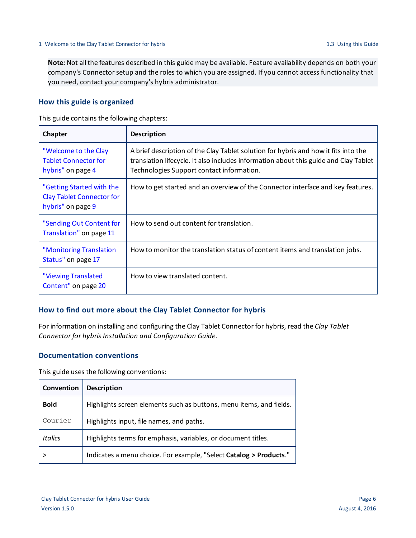**Note:** Not all the features described in this guide may be available. Feature availability depends on both your company's Connector setup and the roles to which you are assigned. If you cannot access functionality that you need, contact your company's hybris administrator.

## **How this guide is organized**

This guide contains the following chapters:

| Chapter                                                                            | <b>Description</b>                                                                                                                                                                                                       |
|------------------------------------------------------------------------------------|--------------------------------------------------------------------------------------------------------------------------------------------------------------------------------------------------------------------------|
| "Welcome to the Clay<br><b>Tablet Connector for</b><br>hybris" on page 4           | A brief description of the Clay Tablet solution for hybris and how it fits into the<br>translation lifecycle. It also includes information about this guide and Clay Tablet<br>Technologies Support contact information. |
| "Getting Started with the<br><b>Clay Tablet Connector for</b><br>hybris" on page 9 | How to get started and an overview of the Connector interface and key features.                                                                                                                                          |
| "Sending Out Content for<br>Translation" on page 11                                | How to send out content for translation.                                                                                                                                                                                 |
| "Monitoring Translation<br>Status" on page 17                                      | How to monitor the translation status of content items and translation jobs.                                                                                                                                             |
| "Viewing Translated<br>Content" on page 20                                         | How to view translated content.                                                                                                                                                                                          |

## **How to find out more about the Clay Tablet Connector for hybris**

For information on installing and configuring the Clay Tablet Connector for hybris, read the *Clay Tablet Connector for hybris Installation and Configuration Guide*.

## **Documentation conventions**

This guide uses the following conventions:

| Convention  | <b>Description</b>                                                  |
|-------------|---------------------------------------------------------------------|
| <b>Bold</b> | Highlights screen elements such as buttons, menu items, and fields. |
| Courier     | Highlights input, file names, and paths.                            |
| Italics     | Highlights terms for emphasis, variables, or document titles.       |
|             | Indicates a menu choice. For example, "Select Catalog > Products."  |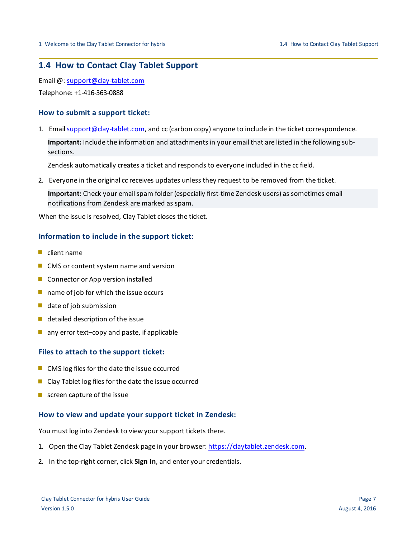## <span id="page-6-0"></span>**1.4 How to Contact Clay Tablet Support**

Email @: [support@clay-tablet.com](mailto:support@clay-tablet.com)

Telephone: +1-416-363-0888

## **How to submit a support ticket:**

1. Email [support@clay-tablet.com](mailto:support@clay-tablet.com), and cc (carbon copy) anyone to include in the ticket correspondence.

**Important:** Include the information and attachments in your email that are listed in the following subsections.

Zendesk automatically creates a ticket and responds to everyone included in the cc field.

2. Everyone in the original cc receives updates unless they request to be removed from the ticket.

Important: Check your email spam folder (especially first-time Zendesk users) as sometimes email notifications from Zendesk are marked as spam.

When the issue is resolved, Clay Tablet closes the ticket.

## **Information to include in the support ticket:**

- $\blacksquare$  client name
- CMS or content system name and version
- Connector or App version installed
- $\blacksquare$  name of job for which the issue occurs
- $\blacksquare$  date of job submission
- $\blacksquare$  detailed description of the issue
- $\blacksquare$  any error text-copy and paste, if applicable

## **Files to attach to the support ticket:**

- CMS log files for the date the issue occurred
- $\blacksquare$  Clay Tablet log files for the date the issue occurred
- $\blacksquare$  screen capture of the issue

## **How to view and update your support ticket in Zendesk:**

You must log into Zendesk to view your support tickets there.

- 1. Open the Clay Tablet Zendesk page in your browser: [https://claytablet.zendesk.com](https://claytablet.zendesk.com/).
- 2. In the top-right corner, click **Sign in**, and enter your credentials.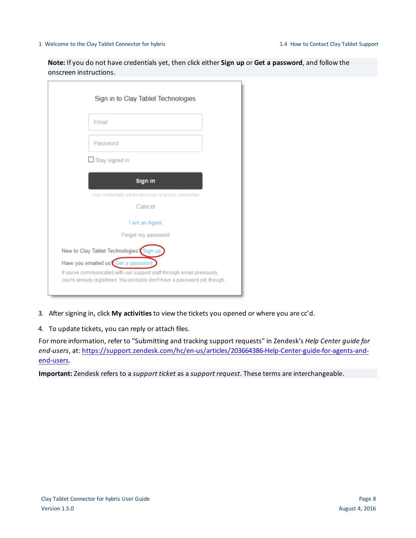#### 1 Welcome to the Clay Tablet Connector for hybris 1.4 How to Contact Clay Tablet Support

**Note:** If you do not have credentials yet, then click either **Sign up** or **Get a password**, and follow the onscreen instructions.

| Sign in to Clay Tablet Technologies                                                                                                                                                         |
|---------------------------------------------------------------------------------------------------------------------------------------------------------------------------------------------|
| Email                                                                                                                                                                                       |
| Password                                                                                                                                                                                    |
| Stay signed in                                                                                                                                                                              |
| Sign in                                                                                                                                                                                     |
| Your credentials will be sent over a secure connection                                                                                                                                      |
| Cancel                                                                                                                                                                                      |
| I am an Agent                                                                                                                                                                               |
| Forgot my password                                                                                                                                                                          |
| New to Clay Tablet Technologies? Sign up                                                                                                                                                    |
| Have you emailed us Get a password<br>If you've communicated with our support staff through email previously,<br>you're already registered. You probably don't have a password yet, though. |

3. After signing in, click **My activities** to view the tickets you opened or where you are cc'd.

4. To update tickets, you can reply or attach files.

For more information, refer to "Submitting and tracking support requests" in Zendesk's *Help Center guide for end-users*, at: [https://support.zendesk.com/hc/en-us/articles/203664386-Help-Center-guide-for-agents-and](https://support.zendesk.com/hc/en-us/articles/203664386-Help-Center-guide-for-agents-and-end-users)[end-users](https://support.zendesk.com/hc/en-us/articles/203664386-Help-Center-guide-for-agents-and-end-users).

**Important:** Zendesk refers to a *support ticket* as a *support request*. These terms are interchangeable.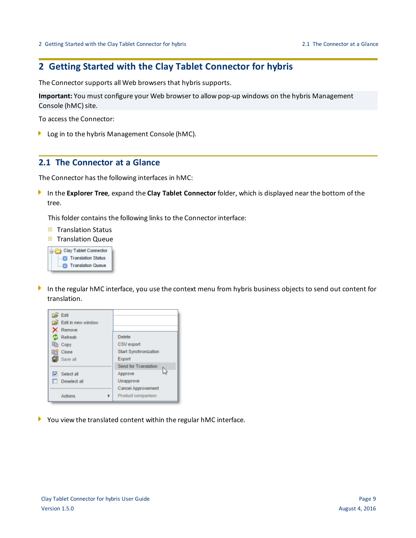## <span id="page-8-0"></span>**2 Getting Started with the Clay Tablet Connector for hybris**

The Connector supports all Web browsers that hybris supports.

**Important:** You must configure your Web browser to allow pop-up windows on the hybris Management Console (hMC) site.

To access the Connector:

Log in to the hybris Management Console (hMC).

## <span id="page-8-1"></span>**2.1 The Connector at a Glance**

The Connector has the following interfaces in hMC:

In the **Explorer Tree**, expand the **Clay Tablet Connector** folder, which is displayed near the bottom of the tree.

This folder contains the following links to the Connector interface:

- **Translation Status**
- **Translation Queue**



In the regular hMC interface, you use the context menu from hybris business objects to send out content for translation.



You view the translated content within the regular hMC interface.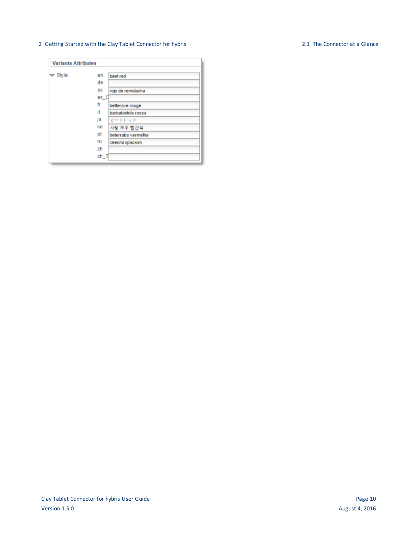#### 2 Getting Started with the Clay Tablet Connector for hybris 2.1 The Connector at a Glance

#### **Variants Attributes**  $\blacktriangledown$  Style: en beet red de es rojo de remolacha  $es_C$ fr betterave rouge it barbabietola rossa ja ビートレッド ko 사탕 무우 빨간색 pt beterraba vermelha ru свекла красная zh  $zh_T$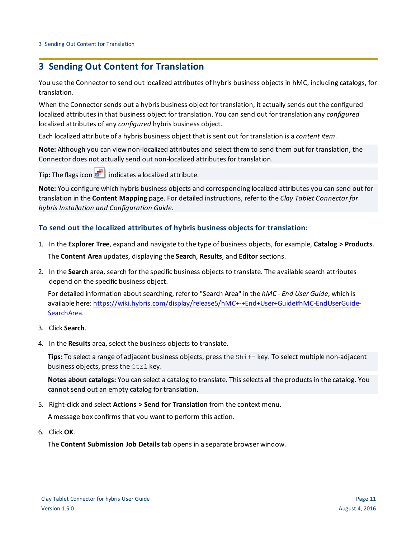## <span id="page-10-0"></span>**3 Sending Out Content for Translation**

You use the Connector to send out localized attributes of hybris business objects in hMC, including catalogs, for translation.

When the Connector sends out a hybris business object for translation, it actually sends out the configured localized attributes in that business object for translation. You can send out for translation any *configured* localized attributes of any *configured* hybris business object.

Each localized attribute of a hybris business object that is sent out for translation is a *content item*.

**Note:** Although you can view non-localized attributes and select them to send them out for translation, the Connector does not actually send out non-localized attributes for translation.

**Tip:** The flags icon  $\frac{1}{2}$  indicates a localized attribute.

**Note:** You configure which hybris business objects and corresponding localized attributes you can send out for translation in the **Content Mapping** page. For detailed instructions, refer to the *Clay Tablet Connector for hybris Installation and Configuration Guide*.

## **To send out the localized attributes of hybris business objects for translation:**

- 1. In the **Explorer Tree**, expand and navigate to the type of business objects, for example, **Catalog > Products**. The **Content Area** updates, displaying the **Search**, **Results**, and **Editor**sections.
- 2. In the **Search** area, search for the specific business objects to translate. The available search attributes depend on the specific business object.

For detailed information about searching, refer to "Search Area" in the *hMC - End User Guide*, which is available here: [https://wiki.hybris.com/display/release5/hMC+-+End+User+Guide#hMC-EndUserGuide-](https://wiki.hybris.com/display/release5/hMC+-+End+User+Guide#hMC-EndUserGuide-SearchArea)[SearchArea.](https://wiki.hybris.com/display/release5/hMC+-+End+User+Guide#hMC-EndUserGuide-SearchArea)

- 3. Click **Search**.
- 4. In the **Results** area, select the business objects to translate.

**Tips:** To select a range of adjacent business objects, press the Shift key. To select multiple non-adjacent business objects, press the Ctrl key.

**Notes about catalogs:** You can select a catalog to translate. This selects all the products in the catalog. You cannot send out an empty catalog for translation.

5. Right-click and select **Actions > Send for Translation** from the context menu.

A message box confirms that you want to perform this action.

6. Click **OK**.

The **Content Submission Job Details** tab opens in a separate browser window.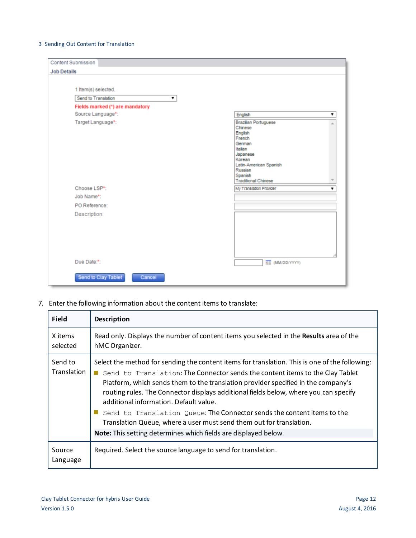### 3 Sending Out Content for Translation

| <b>Content Submission</b>       |                                                                                                                                                                                      |  |
|---------------------------------|--------------------------------------------------------------------------------------------------------------------------------------------------------------------------------------|--|
| <b>Job Details</b>              |                                                                                                                                                                                      |  |
| 1 Item(s) selected.             |                                                                                                                                                                                      |  |
| Send to Translation             |                                                                                                                                                                                      |  |
| Fields marked (*) are mandatory |                                                                                                                                                                                      |  |
| Source Language*:               | English                                                                                                                                                                              |  |
| Target Language*:               | <b>Brazilian Portuguese</b><br>Chinese<br>English<br>French<br>German<br>Italian<br>Japanese<br>Korean<br>Latin-American Spanish<br>Russian<br>Spanish<br><b>Traditional Chinese</b> |  |
| Choose LSP*:                    | My Translation Provider                                                                                                                                                              |  |
| Job Name*:                      |                                                                                                                                                                                      |  |
| PO Reference:                   |                                                                                                                                                                                      |  |
| Description:                    |                                                                                                                                                                                      |  |
| Due Date:*:                     | <b>REE</b> (MM/DD/YYYY)                                                                                                                                                              |  |
| Send to Clay Tablet<br>Cancel   |                                                                                                                                                                                      |  |

7. Enter the following information about the content items to translate:

| <b>Field</b>           | <b>Description</b>                                                                                                                                                                                                                                                                                                                                                                                                                                                                                                                                                                                                          |
|------------------------|-----------------------------------------------------------------------------------------------------------------------------------------------------------------------------------------------------------------------------------------------------------------------------------------------------------------------------------------------------------------------------------------------------------------------------------------------------------------------------------------------------------------------------------------------------------------------------------------------------------------------------|
| X items<br>selected    | Read only. Displays the number of content items you selected in the <b>Results</b> area of the<br>hMC Organizer.                                                                                                                                                                                                                                                                                                                                                                                                                                                                                                            |
| Send to<br>Translation | Select the method for sending the content items for translation. This is one of the following:<br>Send to Translation: The Connector sends the content items to the Clay Tablet<br>Platform, which sends them to the translation provider specified in the company's<br>routing rules. The Connector displays additional fields below, where you can specify<br>additional information. Default value.<br>Send to Translation Queue: The Connector sends the content items to the<br>Translation Queue, where a user must send them out for translation.<br>Note: This setting determines which fields are displayed below. |
| Source<br>Language     | Required. Select the source language to send for translation.                                                                                                                                                                                                                                                                                                                                                                                                                                                                                                                                                               |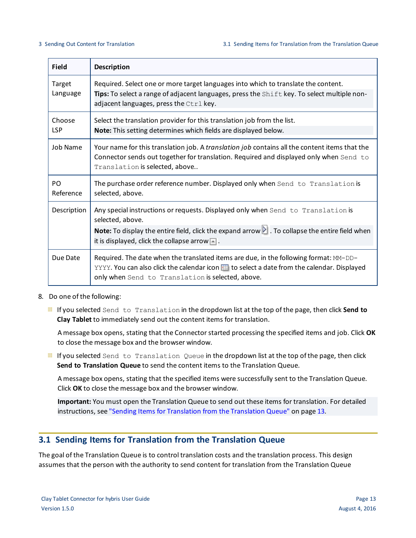| <b>Field</b>                | <b>Description</b>                                                                                                                                                                                                                                  |
|-----------------------------|-----------------------------------------------------------------------------------------------------------------------------------------------------------------------------------------------------------------------------------------------------|
| Target<br>Language          | Required. Select one or more target languages into which to translate the content.<br>Tips: To select a range of adjacent languages, press the Shift key. To select multiple non-<br>adjacent languages, press the Ctrl key.                        |
| Choose<br><b>LSP</b>        | Select the translation provider for this translation job from the list.<br>Note: This setting determines which fields are displayed below.                                                                                                          |
| <b>Job Name</b>             | Your name for this translation job. A translation job contains all the content items that the<br>Connector sends out together for translation. Required and displayed only when Send to<br>Translation is selected, above                           |
| P <sub>O</sub><br>Reference | The purchase order reference number. Displayed only when Send to Translation is<br>selected, above.                                                                                                                                                 |
| Description                 | Any special instructions or requests. Displayed only when Send to Translation is<br>selected, above.<br>Note: To display the entire field, click the expand arrow $\blacksquare$ . To collapse the entire field when                                |
|                             | it is displayed, click the collapse arrow $\blacksquare$ .                                                                                                                                                                                          |
| Due Date                    | Required. The date when the translated items are due, in the following format: MM-DD-<br>YYYY. You can also click the calendar icon <b>Fig. 20 select a date from the calendar</b> . Displayed<br>only when Send to Translation is selected, above. |

- 8. Do one of the following:
	- If you selected Send to Translation in the dropdown list at the top of the page, then click **Send to Clay Tablet** to immediately send out the content items for translation.

A message box opens, stating that the Connector started processing the specified items and job. Click **OK** to close the message box and the browser window.

If you selected Send to Translation Queue in the dropdown list at the top of the page, then click **Send to Translation Queue** to send the content items to the Translation Queue.

A message box opens, stating that the specified items were successfully sent to the Translation Queue. Click **OK** to close the message box and the browser window.

**Important:** You must open the Translation Queue to send out these items for translation. For detailed instructions, see "Sending Items for [Translation](#page-12-0) from the Translation Queue" on page 13.

## <span id="page-12-0"></span>**3.1 Sending Items for Translation from the Translation Queue**

The goal of the Translation Queue is to control translation costs and the translation process. This design assumes that the person with the authority to send content for translation from the Translation Queue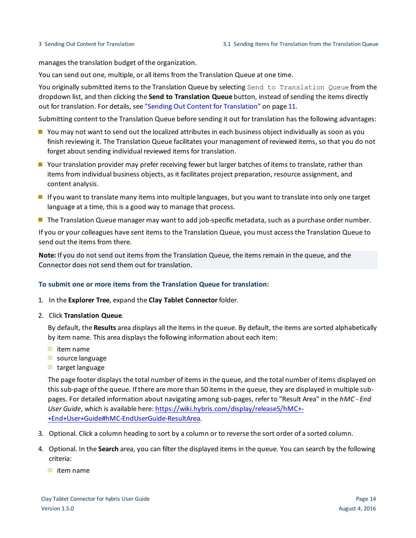manages the translation budget of the organization.

You can send out one, multiple, or all items from the Translation Queue at one time.

You originally submitted items to the Translation Queue by selecting Send to Translation Queue from the dropdown list, and then clicking the **Send to Translation Queue** button, instead ofsending the items directly out for translation. For details, see "Sending Out Content for [Translation"](#page-10-0) on page 11.

Submitting content to the Translation Queue before sending it out for translation has the following advantages:

- **P** You may not want to send out the localized attributes in each business object individually as soon as you finish reviewing it. The Translation Queue facilitates your management ofreviewed items, so that you do not forget about sending individual reviewed items for translation.
- Your translation provider may prefer receiving fewer but larger batches of items to translate, rather than items from individual business objects, as it facilitates project preparation, resource assignment, and content analysis.
- If you want to translate many items into multiple languages, but you want to translate into only one target language at a time, this is a good way to manage that process.
- **The Translation Queue manager may want to add job-specific metadata, such as a purchase order number.**

If you or your colleagues have sent items to the Translation Queue, you must access the Translation Queue to send out the items from there.

**Note:** If you do not send out items from the Translation Queue, the items remain in the queue, and the Connector does not send them out for translation.

## **To submit one or more items from the Translation Queue for translation:**

- 1. In the **Explorer Tree**, expand the **Clay Tablet Connector** folder.
- 2. Click **Translation Queue**.

By default, the **Results** area displays all the items in the queue. By default, the items are sorted alphabetically by item name. This area displays the following information about each item:

- $\equiv$  item name
- source language
- target language

The page footer displays the total number of items in the queue, and the total number of items displayed on this sub-page of the queue. If there are more than 50 items in the queue, they are displayed in multiple subpages. For detailed information about navigating among sub-pages, refer to "Result Area" in the *hMC - End User Guide*, which is available here: [https://wiki.hybris.com/display/release5/hMC+-](https://wiki.hybris.com/display/release5/hMC+-+End+User+Guide#hMC-EndUserGuide-ResultArea) [+End+User+Guide#hMC-EndUserGuide-ResultArea.](https://wiki.hybris.com/display/release5/hMC+-+End+User+Guide#hMC-EndUserGuide-ResultArea)

- 3. Optional. Click a column heading to sort by a column or to reverse the sort order of a sorted column.
- 4. Optional. In the **Search** area, you can filter the displayed items in the queue. You can search by the following criteria:
	- $\equiv$  item name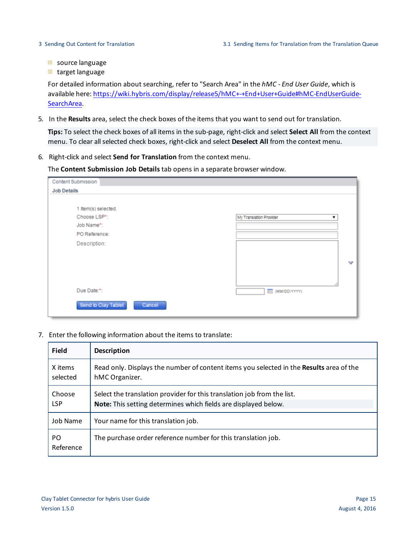- source language
- **target language**

For detailed information about searching, refer to "Search Area" in the *hMC - End User Guide*, which is available here: [https://wiki.hybris.com/display/release5/hMC+-+End+User+Guide#hMC-EndUserGuide-](https://wiki.hybris.com/display/release5/hMC+-+End+User+Guide#hMC-EndUserGuide-SearchArea)[SearchArea.](https://wiki.hybris.com/display/release5/hMC+-+End+User+Guide#hMC-EndUserGuide-SearchArea)

5. In the **Results** area, select the check boxes of the items that you want to send out for translation.

**Tips:** To select the check boxes of all items in the sub-page, right-click and select **Select All** from the context menu. To clear allselected check boxes, right-click and select **Deselect All** from the context menu.

6. Right-click and select **Send for Translation** from the context menu.

The **Content Submission Job Details** tab opens in a separate browser window.

| <b>Content Submission</b>     |                         |
|-------------------------------|-------------------------|
| <b>Job Details</b>            |                         |
| 1 Item(s) selected.           |                         |
| Choose LSP*:                  | My Translation Provider |
| Job Name*:                    |                         |
| PO Reference:                 |                         |
| Description:                  |                         |
|                               |                         |
|                               | v                       |
|                               |                         |
|                               |                         |
| Due Date:*:                   |                         |
|                               | <b>KEE (MM/DD/YYYY)</b> |
| Send to Clay Tablet<br>Cancel |                         |

7. Enter the following information about the items to translate:

| <b>Field</b>         | <b>Description</b>                                                                                                                         |
|----------------------|--------------------------------------------------------------------------------------------------------------------------------------------|
| X items<br>selected  | Read only. Displays the number of content items you selected in the Results area of the<br>hMC Organizer.                                  |
| Choose<br><b>LSP</b> | Select the translation provider for this translation job from the list.<br>Note: This setting determines which fields are displayed below. |
| Job Name             | Your name for this translation job.                                                                                                        |
| PO.<br>Reference     | The purchase order reference number for this translation job.                                                                              |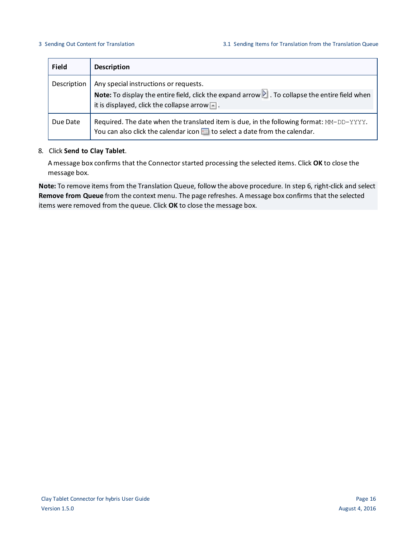| <b>Field</b> | <b>Description</b>                                                                                                                                                                                                  |
|--------------|---------------------------------------------------------------------------------------------------------------------------------------------------------------------------------------------------------------------|
| Description  | Any special instructions or requests.<br>Note: To display the entire field, click the expand arrow $\blacksquare$ . To collapse the entire field when<br>it is displayed, click the collapse arrow $\blacksquare$ . |
| Due Date     | Required. The date when the translated item is due, in the following format: MM-DD-YYYY.<br>You can also click the calendar icon <b>FD</b> to select a date from the calendar.                                      |

### 8. Click **Send to Clay Tablet**.

A message box confirms that the Connector started processing the selected items. Click **OK** to close the message box.

**Note:** To remove items from the Translation Queue, follow the above procedure. In step 6, right-click and select **Remove from Queue** from the context menu. The page refreshes. A message box confirms that the selected items were removed from the queue. Click **OK** to close the message box.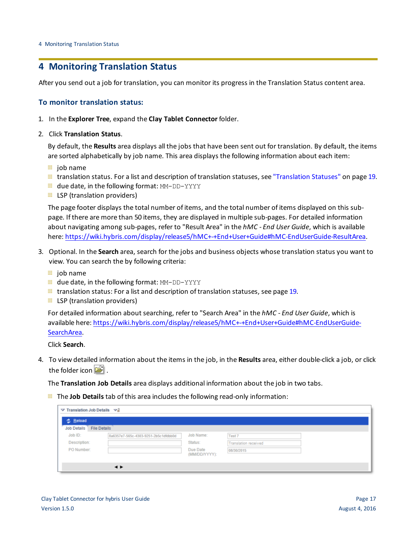## <span id="page-16-0"></span>**4 Monitoring Translation Status**

After you send out a job for translation, you can monitor its progress in the Translation Status content area.

## **To monitor translation status:**

- 1. In the **Explorer Tree**, expand the **Clay Tablet Connector** folder.
- 2. Click **Translation Status**.

By default, the **Results** area displays all the jobs that have been sent out for translation. By default, the items are sorted alphabetically by job name. This area displays the following information about each item:

- $\equiv$  job name
- $\equiv$  translation status. For a list and description of translation statuses, see ["Translation](#page-18-0) Statuses" on page 19.
- **u** due date, in the following format: MM-DD-YYYY
- $\equiv$  LSP (translation providers)

The page footer displays the total number of items, and the total number of items displayed on this subpage. If there are more than 50 items, they are displayed in multiple sub-pages. For detailed information about navigating among sub-pages, refer to "Result Area" in the *hMC - End User Guide*, which is available here: <https://wiki.hybris.com/display/release5/hMC+-+End+User+Guide#hMC-EndUserGuide-ResultArea>.

- 3. Optional. In the **Search** area, search for the jobs and business objects whose translation status you want to view. You can search the by following criteria:
	- $\equiv$  job name
	- **due date, in the following format: MM-DD-YYYY**
	- $\equiv$  translation status: For a list and description of translation statuses, see [page](#page-18-0) 19.
	- $\equiv$  LSP (translation providers)

For detailed information about searching, refer to "Search Area" in the *hMC - End User Guide*, which is available here: [https://wiki.hybris.com/display/release5/hMC+-+End+User+Guide#hMC-EndUserGuide-](https://wiki.hybris.com/display/release5/hMC+-+End+User+Guide#hMC-EndUserGuide-SearchArea)[SearchArea.](https://wiki.hybris.com/display/release5/hMC+-+End+User+Guide#hMC-EndUserGuide-SearchArea)

Click **Search**.

4. To view detailed information about the items in the job, in the **Results** area, either double-click a job, or click the folder icon  $\mathbb{E}$ .

The **Translation Job Details** area displays additional information about the job in two tabs.

The **Job Details** tab of this area includes the following read-only information:

| <b>の Reload</b>    |                                      |                           |                             |  |
|--------------------|--------------------------------------|---------------------------|-----------------------------|--|
| <b>Job Details</b> | <b>File Details</b>                  |                           |                             |  |
| Job ID:            | 8a6357e7-565c-4303-9251-2b5c1dfdbb0d | Job Name:                 | Test 7                      |  |
| Description:       |                                      | Status:                   | <b>Translation received</b> |  |
| PO Number:         |                                      | Due Date<br>(MM/DD/YYYY): | 08/30/2015                  |  |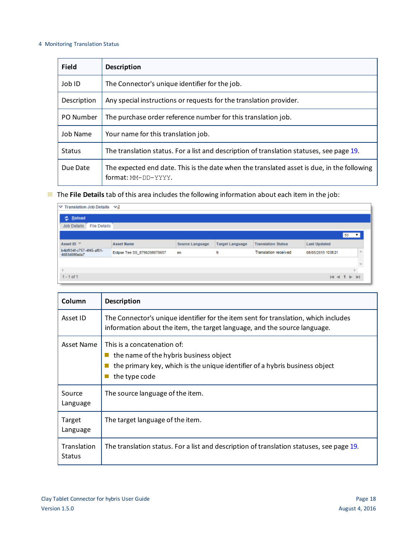#### 4 Monitoring Translation Status

| <b>Field</b>  | <b>Description</b>                                                                                                |
|---------------|-------------------------------------------------------------------------------------------------------------------|
| Job ID        | The Connector's unique identifier for the job.                                                                    |
| Description   | Any special instructions or requests for the translation provider.                                                |
| PO Number     | The purchase order reference number for this translation job.                                                     |
| Job Name      | Your name for this translation job.                                                                               |
| <b>Status</b> | The translation status. For a list and description of translation statuses, see page 19.                          |
| Due Date      | The expected end date. This is the date when the translated asset is due, in the following<br>format: MM-DD-YYYY. |

The **File Details** tab of this area includes the following information about each item in the job:

| $\triangledown$ Translation Job Details $\triangledown$ <sup>2</sup> |                              |                 |                        |                             |                     |                |  |
|----------------------------------------------------------------------|------------------------------|-----------------|------------------------|-----------------------------|---------------------|----------------|--|
| 之 Reload                                                             |                              |                 |                        |                             |                     |                |  |
| <b>File Details</b><br><b>Job Details</b>                            |                              |                 |                        |                             |                     |                |  |
|                                                                      |                              |                 |                        |                             |                     | $50 - 7$       |  |
| Asset ID $\overline{\phantom{a}}$                                    | <b>Asset Name</b>            | Source Language | <b>Target Language</b> | <b>Translation Status</b>   | <b>Last Updated</b> |                |  |
| b4bf934f-c757-4f45-af01-<br>4683d08fada7                             | Eclipse Tee SS_8796208070657 | en              | fr                     | <b>Translation received</b> | 08/05/2015 10:05:21 |                |  |
|                                                                      |                              |                 |                        |                             |                     |                |  |
|                                                                      |                              |                 |                        |                             |                     |                |  |
| $1 - 1$ of 1                                                         |                              |                 |                        |                             |                     | $M \leq 1$ $M$ |  |

| Column                       | <b>Description</b>                                                                                                                                                    |
|------------------------------|-----------------------------------------------------------------------------------------------------------------------------------------------------------------------|
| Asset ID                     | The Connector's unique identifier for the item sent for translation, which includes<br>information about the item, the target language, and the source language.      |
| Asset Name                   | This is a concatenation of:<br>the name of the hybris business object<br>the primary key, which is the unique identifier of a hybris business object<br>the type code |
| Source<br>Language           | The source language of the item.                                                                                                                                      |
| Target<br>Language           | The target language of the item.                                                                                                                                      |
| Translation<br><b>Status</b> | The translation status. For a list and description of translation statuses, see page 19.                                                                              |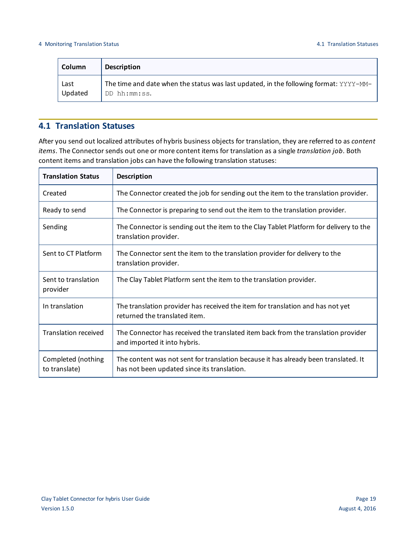| <b>Column</b> | <b>Description</b>                                                                    |
|---------------|---------------------------------------------------------------------------------------|
| Last          | The time and date when the status was last updated, in the following format: YYYY-MM- |
| Updated       | DD hh:mm:ss.                                                                          |

## <span id="page-18-0"></span>**4.1 Translation Statuses**

After you send out localized attributes of hybris business objects for translation, they are referred to as *content items*. The Connector sends out one or more content items for translation as a single *translation job*. Both content items and translation jobs can have the following translation statuses:

| <b>Translation Status</b>           | <b>Description</b>                                                                                                                 |
|-------------------------------------|------------------------------------------------------------------------------------------------------------------------------------|
| Created                             | The Connector created the job for sending out the item to the translation provider.                                                |
| Ready to send                       | The Connector is preparing to send out the item to the translation provider.                                                       |
| Sending                             | The Connector is sending out the item to the Clay Tablet Platform for delivery to the<br>translation provider.                     |
| Sent to CT Platform                 | The Connector sent the item to the translation provider for delivery to the<br>translation provider.                               |
| Sent to translation<br>provider     | The Clay Tablet Platform sent the item to the translation provider.                                                                |
| In translation                      | The translation provider has received the item for translation and has not yet<br>returned the translated item.                    |
| <b>Translation received</b>         | The Connector has received the translated item back from the translation provider<br>and imported it into hybris.                  |
| Completed (nothing<br>to translate) | The content was not sent for translation because it has already been translated. It<br>has not been updated since its translation. |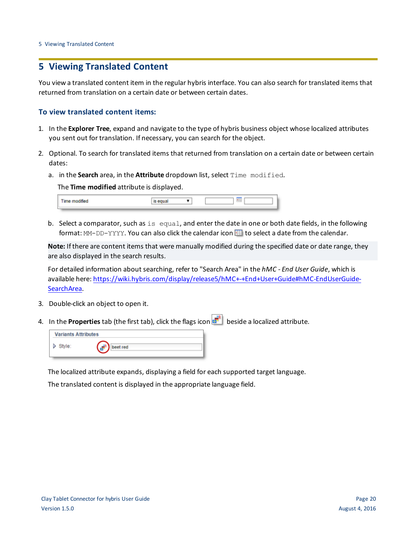## <span id="page-19-0"></span>**5 Viewing Translated Content**

You view a translated content item in the regular hybris interface. You can also search for translated items that returned from translation on a certain date or between certain dates.

## **To view translated content items:**

- 1. In the **Explorer Tree**, expand and navigate to the type of hybris business object whose localized attributes you sent out for translation. If necessary, you can search for the object.
- 2. Optional. To search for translated items that returned from translation on a certain date or between certain dates:
	- a. in the **Search** area, in the **Attribute** dropdown list, select Time modified.

The **Time modified** attribute is displayed.

| Time modified |  |  |
|---------------|--|--|
|               |  |  |

b. Select a comparator, such as is equal, and enter the date in one or both date fields, in the following format: MM-DD-YYYY. You can also click the calendar icon **III** to select a date from the calendar.

**Note:** If there are content items that were manually modified during the specified date or date range, they are also displayed in the search results.

For detailed information about searching, refer to "Search Area" in the *hMC - End User Guide*, which is available here: [https://wiki.hybris.com/display/release5/hMC+-+End+User+Guide#hMC-EndUserGuide-](https://wiki.hybris.com/display/release5/hMC+-+End+User+Guide#hMC-EndUserGuide-SearchArea)[SearchArea.](https://wiki.hybris.com/display/release5/hMC+-+End+User+Guide#hMC-EndUserGuide-SearchArea)

- 3. Double-click an object to open it.
- 4. In the **Properties** tab (the first tab), click the flags icon **be locally** beside a localized attribute.

| <b>Variants Attributes</b> |              |  |  |
|----------------------------|--------------|--|--|
| Style:                     | t red<br>. . |  |  |

The localized attribute expands, displaying a field for each supported target language.

The translated content is displayed in the appropriate language field.